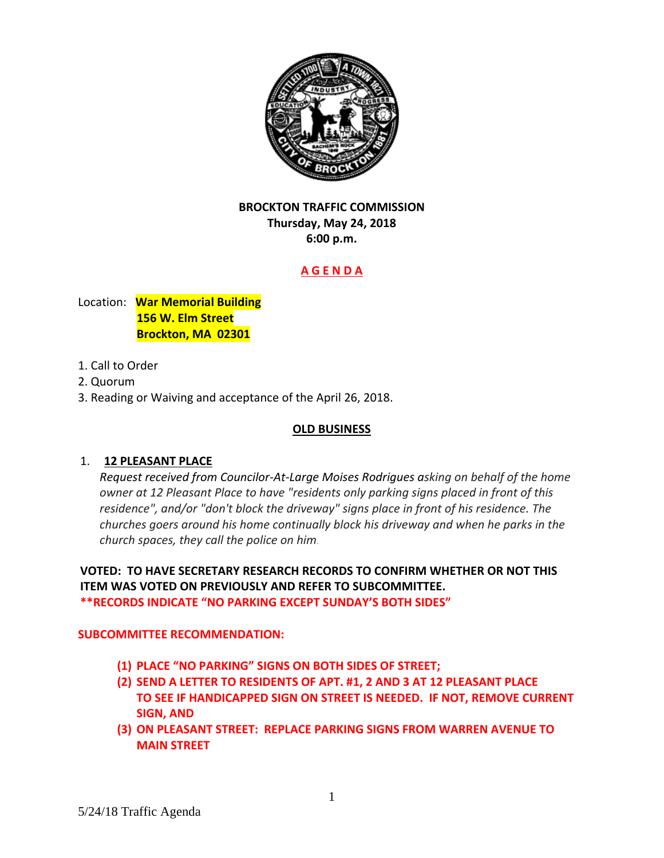

# **BROCKTON TRAFFIC COMMISSION Thursday, May 24, 2018 6:00 p.m.**

# **A G E N D A**

Location: **War Memorial Building 156 W. Elm Street Brockton, MA 02301** 

- 1. Call to Order
- 2. Quorum
- 3. Reading or Waiving and acceptance of the April 26, 2018.

# **OLD BUSINESS**

# 1. **12 PLEASANT PLACE**

*Request received from Councilor‐At‐Large Moises Rodrigues asking on behalf of the home owner at 12 Pleasant Place to have "residents only parking signs placed in front of this residence", and/or "don't block the driveway" signs place in front of his residence. The churches goers around his home continually block his driveway and when he parks in the church spaces, they call the police on him*.

**VOTED: TO HAVE SECRETARY RESEARCH RECORDS TO CONFIRM WHETHER OR NOT THIS ITEM WAS VOTED ON PREVIOUSLY AND REFER TO SUBCOMMITTEE. \*\*RECORDS INDICATE "NO PARKING EXCEPT SUNDAY'S BOTH SIDES"**

# **SUBCOMMITTEE RECOMMENDATION:**

- **(1) PLACE "NO PARKING" SIGNS ON BOTH SIDES OF STREET;**
- **(2) SEND A LETTER TO RESIDENTS OF APT. #1, 2 AND 3 AT 12 PLEASANT PLACE TO SEE IF HANDICAPPED SIGN ON STREET IS NEEDED. IF NOT, REMOVE CURRENT SIGN, AND**
- **(3) ON PLEASANT STREET: REPLACE PARKING SIGNS FROM WARREN AVENUE TO MAIN STREET**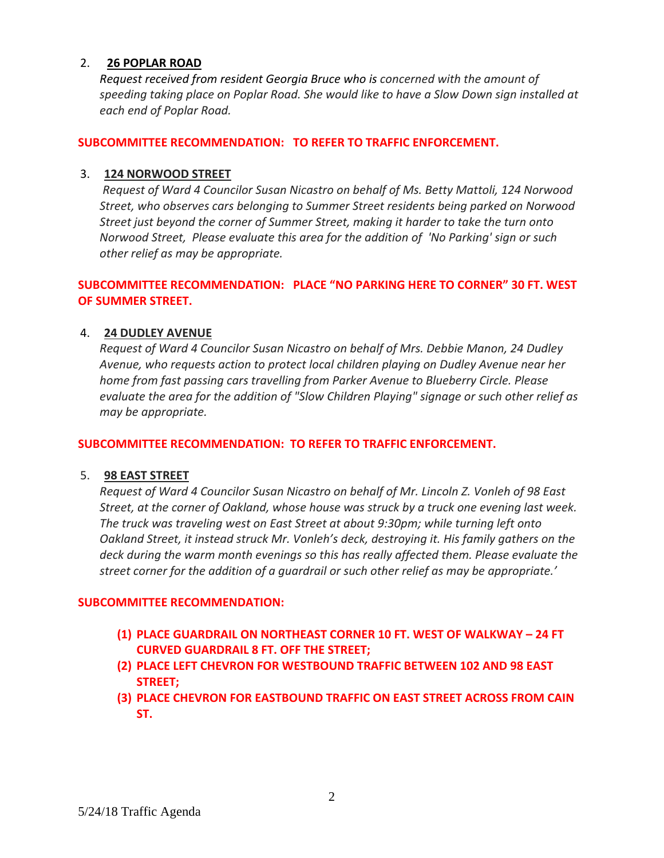#### 2. **26 POPLAR ROAD**

*Request received from resident Georgia Bruce who is concerned with the amount of speeding taking place on Poplar Road. She would like to have a Slow Down sign installed at each end of Poplar Road.* 

#### **SUBCOMMITTEE RECOMMENDATION: TO REFER TO TRAFFIC ENFORCEMENT.**

#### 3. **124 NORWOOD STREET**

*Request of Ward 4 Councilor Susan Nicastro on behalf of Ms. Betty Mattoli, 124 Norwood Street, who observes cars belonging to Summer Street residents being parked on Norwood Street just beyond the corner of Summer Street, making it harder to take the turn onto Norwood Street, Please evaluate this area for the addition of 'No Parking' sign or such other relief as may be appropriate.*

## **SUBCOMMITTEE RECOMMENDATION: PLACE "NO PARKING HERE TO CORNER" 30 FT. WEST OF SUMMER STREET.**

#### 4. **24 DUDLEY AVENUE**

*Request of Ward 4 Councilor Susan Nicastro on behalf of Mrs. Debbie Manon, 24 Dudley Avenue, who requests action to protect local children playing on Dudley Avenue near her home from fast passing cars travelling from Parker Avenue to Blueberry Circle. Please evaluate the area for the addition of "Slow Children Playing" signage or such other relief as may be appropriate.*

#### **SUBCOMMITTEE RECOMMENDATION: TO REFER TO TRAFFIC ENFORCEMENT.**

#### 5. **98 EAST STREET**

*Request of Ward 4 Councilor Susan Nicastro on behalf of Mr. Lincoln Z. Vonleh of 98 East Street, at the corner of Oakland, whose house was struck by a truck one evening last week. The truck was traveling west on East Street at about 9:30pm; while turning left onto Oakland Street, it instead struck Mr. Vonleh's deck, destroying it. His family gathers on the deck during the warm month evenings so this has really affected them. Please evaluate the street corner for the addition of a guardrail or such other relief as may be appropriate.'*

#### **SUBCOMMITTEE RECOMMENDATION:**

- **(1) PLACE GUARDRAIL ON NORTHEAST CORNER 10 FT. WEST OF WALKWAY – 24 FT CURVED GUARDRAIL 8 FT. OFF THE STREET;**
- **(2) PLACE LEFT CHEVRON FOR WESTBOUND TRAFFIC BETWEEN 102 AND 98 EAST STREET;**
- **(3) PLACE CHEVRON FOR EASTBOUND TRAFFIC ON EAST STREET ACROSS FROM CAIN ST.**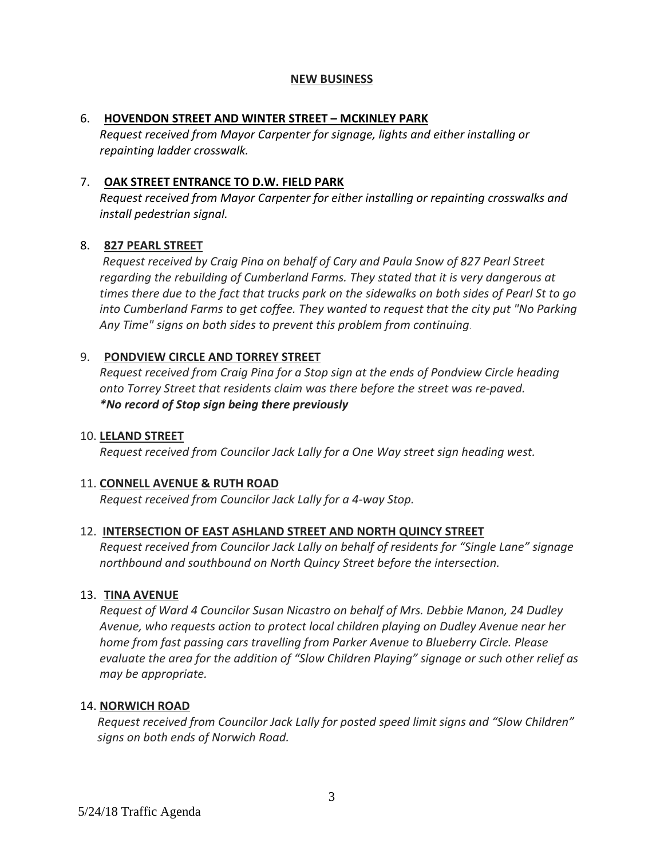## **NEW BUSINESS**

## 6. **HOVENDON STREET AND WINTER STREET – MCKINLEY PARK**

*Request received from Mayor Carpenter for signage, lights and either installing or repainting ladder crosswalk.*

# 7. **OAK STREET ENTRANCE TO D.W. FIELD PARK**

*Request received from Mayor Carpenter for either installing or repainting crosswalks and install pedestrian signal.*

## 8. **827 PEARL STREET**

*Request received by Craig Pina on behalf of Cary and Paula Snow of 827 Pearl Street regarding the rebuilding of Cumberland Farms. They stated that it is very dangerous at* times there due to the fact that trucks park on the sidewalks on both sides of Pearl St to go *into Cumberland Farms to get coffee. They wanted to request that the city put "No Parking Any Time" signs on both sides to prevent this problem from continuing*.

## 9. **PONDVIEW CIRCLE AND TORREY STREET**

*Request received from Craig Pina for a Stop sign at the ends of Pondview Circle heading onto Torrey Street that residents claim was there before the street was re‐paved. \*No record of Stop sign being there previously* 

### 10. **LELAND STREET**

*Request received from Councilor Jack Lally for a One Way street sign heading west.*

# 11. **CONNELL AVENUE & RUTH ROAD**

*Request received from Councilor Jack Lally for a 4‐way Stop.*

#### 12. **INTERSECTION OF EAST ASHLAND STREET AND NORTH QUINCY STREET**

*Request received from Councilor Jack Lally on behalf of residents for "Single Lane" signage northbound and southbound on North Quincy Street before the intersection.*

# 13. **TINA AVENUE**

*Request of Ward 4 Councilor Susan Nicastro on behalf of Mrs. Debbie Manon, 24 Dudley Avenue, who requests action to protect local children playing on Dudley Avenue near her home from fast passing cars travelling from Parker Avenue to Blueberry Circle. Please evaluate the area for the addition of "Slow Children Playing" signage or such other relief as may be appropriate.*

# 14. **NORWICH ROAD**

*Request received from Councilor Jack Lally for posted speed limit signs and "Slow Children" signs on both ends of Norwich Road.*